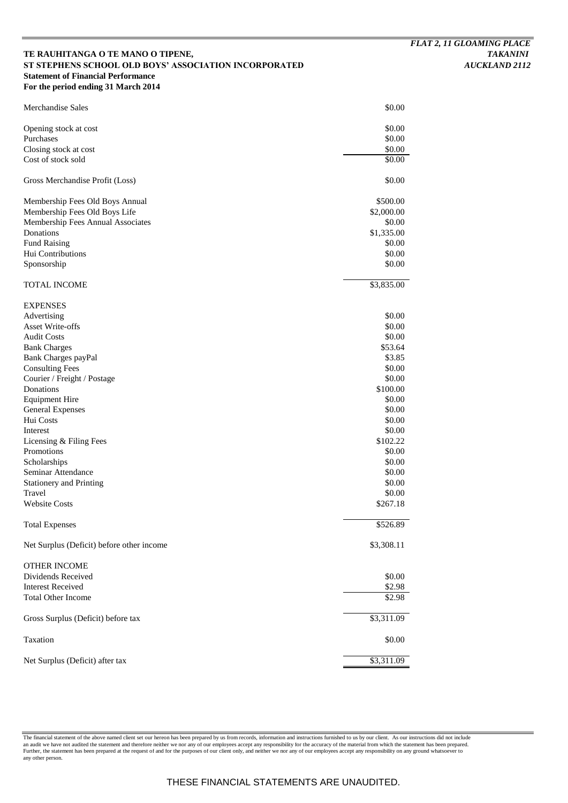# **TE RAUHITANGA O TE MANO O TIPENE,** *TAKANINI*  **ST STEPHENS SCHOOL OLD BOYS' ASSOCIATION INCORPORATED** *AUCKLAND 2112* **Statement of Financial Performance For the period ending 31 March 2014**

| Merchandise Sales                         | \$0.00     |
|-------------------------------------------|------------|
| Opening stock at cost                     | \$0.00     |
| Purchases                                 | \$0.00     |
| Closing stock at cost                     | \$0.00     |
| Cost of stock sold                        | \$0.00     |
| Gross Merchandise Profit (Loss)           | \$0.00     |
| Membership Fees Old Boys Annual           | \$500.00   |
| Membership Fees Old Boys Life             | \$2,000.00 |
| Membership Fees Annual Associates         | \$0.00     |
| Donations                                 | \$1,335.00 |
| <b>Fund Raising</b>                       | \$0.00     |
| Hui Contributions                         | \$0.00     |
| Sponsorship                               | \$0.00     |
| <b>TOTAL INCOME</b>                       | \$3,835.00 |
| <b>EXPENSES</b>                           |            |
| Advertising                               | \$0.00     |
| Asset Write-offs                          | \$0.00     |
| <b>Audit Costs</b>                        | \$0.00     |
| <b>Bank Charges</b>                       | \$53.64    |
| Bank Charges payPal                       | \$3.85     |
| <b>Consulting Fees</b>                    | \$0.00     |
| Courier / Freight / Postage               | \$0.00     |
| Donations                                 | \$100.00   |
| <b>Equipment Hire</b>                     | \$0.00     |
| <b>General Expenses</b>                   | \$0.00     |
| Hui Costs                                 | \$0.00     |
| Interest                                  | \$0.00     |
| Licensing & Filing Fees                   | \$102.22   |
| Promotions                                | \$0.00     |
| Scholarships                              | \$0.00     |
| Seminar Attendance                        | \$0.00     |
| <b>Stationery and Printing</b>            | \$0.00     |
| Travel                                    | \$0.00     |
| <b>Website Costs</b>                      | \$267.18   |
| <b>Total Expenses</b>                     | \$526.89   |
| Net Surplus (Deficit) before other income | \$3,308.11 |
| <b>OTHER INCOME</b>                       |            |
| Dividends Received                        | \$0.00     |
| <b>Interest Received</b>                  | \$2.98     |
| <b>Total Other Income</b>                 | \$2.98     |
| Gross Surplus (Deficit) before tax        | \$3,311.09 |
| Taxation                                  | \$0.00     |
| Net Surplus (Deficit) after tax           | \$3,311.09 |

The financial statement of the above named client set our hereon has been prepared by us from records, information and instructions furnished to us by our client. As our instructions did not include<br>an audit we have not au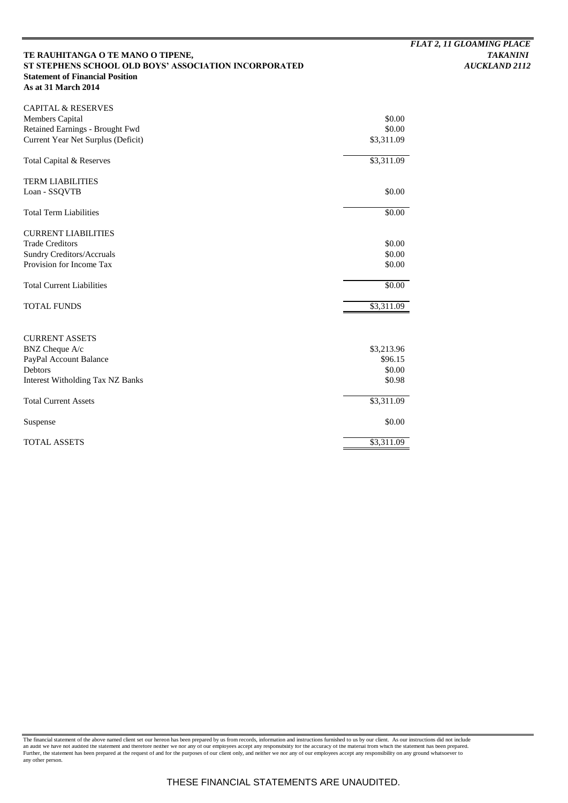# TE RAUHITANGA O TE MANO O TIPENE, TAKANINI ST STEPHENS SCHOOL OLD BOYS' ASSOCIATION INCORPORATED AUCKLAND 2112 ST STEPHENS SCHOOL OLD BOYS' ASSOCIATION INCORPORATED **Statement of Financial Position As at 31 March 2014**

| <b>CAPITAL &amp; RESERVES</b>                      |                  |
|----------------------------------------------------|------------------|
| <b>Members Capital</b>                             | \$0.00           |
| Retained Earnings - Brought Fwd                    | \$0.00           |
| Current Year Net Surplus (Deficit)                 | \$3,311.09       |
| Total Capital & Reserves                           | \$3,311.09       |
| <b>TERM LIABILITIES</b>                            |                  |
| Loan - SSQVTB                                      | \$0.00           |
| <b>Total Term Liabilities</b>                      | \$0.00           |
| <b>CURRENT LIABILITIES</b>                         |                  |
| <b>Trade Creditors</b>                             | \$0.00           |
| <b>Sundry Creditors/Accruals</b>                   | \$0.00           |
| Provision for Income Tax                           | \$0.00           |
| <b>Total Current Liabilities</b>                   | \$0.00           |
| <b>TOTAL FUNDS</b>                                 | \$3,311.09       |
|                                                    |                  |
| <b>CURRENT ASSETS</b>                              |                  |
| BNZ Cheque A/c                                     | \$3,213.96       |
| PayPal Account Balance                             | \$96.15          |
| Debtors<br><b>Interest Witholding Tax NZ Banks</b> | \$0.00<br>\$0.98 |
|                                                    |                  |
| <b>Total Current Assets</b>                        | \$3,311.09       |
| Suspense                                           | \$0.00           |
| <b>TOTAL ASSETS</b>                                | \$3,311.09       |

The financial statement of the above named client set our hereon has been prepared by us from records, information and instructions furnished to us by our client. As our instructions did not include<br>an audit we have not au any other person.